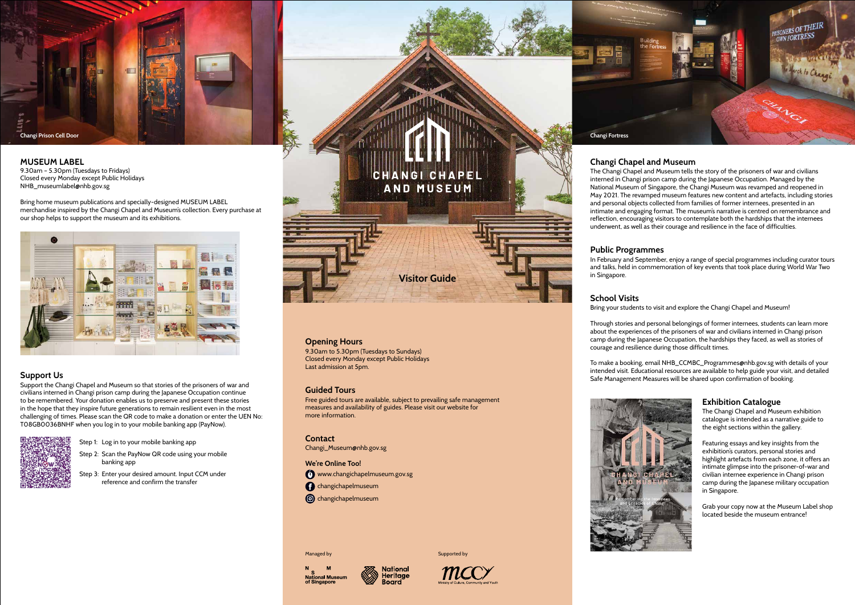# **Opening Hours**

9.30am to 5.30pm (Tuesdays to Sundays) Closed every Monday except Public Holidays Last admission at 5pm.

# **Guided Tours**

Free guided tours are available, subject to prevailing safe management measures and availability of guides. Please visit our website for more information.

**Contact**

Changi\_Museum@nhb.gov.sg

**We're Online Too!** www.changichapelmuseum.gov.sg

**C** changichapelmuseum

**c**hangichapelmuseum

Managed by





# **Changi Chapel and Museum**

The Changi Chapel and Museum tells the story of the prisoners of war and civilians interned in Changi prison camp during the Japanese Occupation. Managed by the National Museum of Singapore, the Changi Museum was revamped and reopened in May 2021. The revamped museum features new content and artefacts, including stories and personal objects collected from families of former internees, presented in an intimate and engaging format. The museum's narrative is centred on remembrance and reflection, encouraging visitors to contemplate both the hardships that the internees underwent, as well as their courage and resilience in the face of difficulties.

### **Public Programmes**

In February and September, enjoy a range of special programmes including curator tours and talks, held in commemoration of key events that took place during World War Two

in Singapore.

# **School Visits**

Bring your students to visit and explore the Changi Chapel and Museum!

Through stories and personal belongings of former internees, students can learn more about the experiences of the prisoners of war and civilians interned in Changi prison camp during the Japanese Occupation, the hardships they faced, as well as stories of courage and resilience during those difficult times.

To make a booking, email NHB\_CCMBC\_Programmes@nhb.gov.sg with details of your intended visit. Educational resources are available to help guide your visit, and detailed Safe Management Measures will be shared upon confirmation of booking.







# **Exhibition Catalogue**

The Changi Chapel and Museum exhibition catalogue is intended as a narrative guide to the eight sections within the gallery.

Featuring essays and key insights from the exhibition's curators, personal stories and highlight artefacts from each zone, it offers an intimate glimpse into the prisoner-of-war and civilian internee experience in Changi prison camp during the Japanese military occupation in Singapore.

Grab your copy now at the Museum Label shop located beside the museum entrance!

#### **MUSEUM LABEL**

9.30am – 5.30pm (Tuesdays to Fridays) Closed every Monday except Public Holidays NHB\_museumlabel@nhb.gov.sg

Bring home museum publications and specially-designed MUSEUM LABEL merchandise inspired by the Changi Chapel and Museum's collection. Every purchase at our shop helps to support the museum and its exhibitions.



# **Support Us**

Support the Changi Chapel and Museum so that stories of the prisoners of war and civilians interned in Changi prison camp during the Japanese Occupation continue to be remembered. Your donation enables us to preserve and present these stories in the hope that they inspire future generations to remain resilient even in the most challenging of times. Please scan the QR code to make a donation or enter the UEN No: T08GB0036BNHF when you log in to your mobile banking app (PayNow).



Step 1: Log in to your mobile banking app

Step 2: Scan the PayNow QR code using your mobile banking app

Step 3: Enter your desired amount. Input CCM under reference and confirm the transfer

# CHANGI CHAPEI **AND MUSEUM**